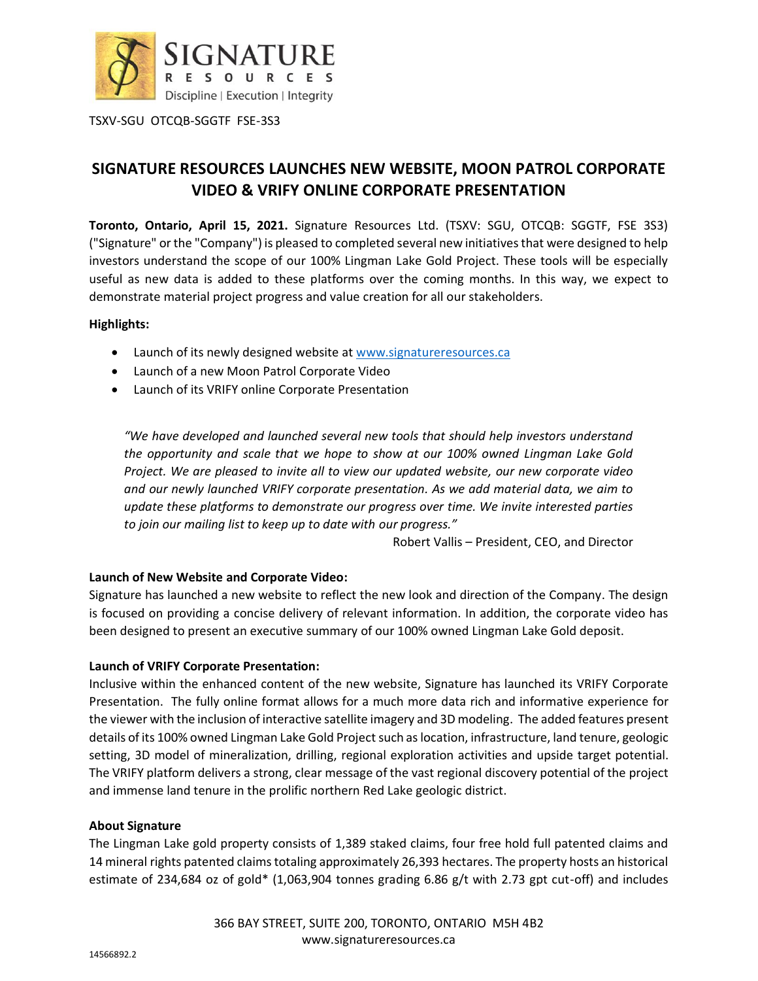

TSXV-SGU OTCQB-SGGTF FSE-3S3

# **SIGNATURE RESOURCES LAUNCHES NEW WEBSITE, MOON PATROL CORPORATE VIDEO & VRIFY ONLINE CORPORATE PRESENTATION**

**Toronto, Ontario, April 15, 2021.** Signature Resources Ltd. (TSXV: SGU, OTCQB: SGGTF, FSE 3S3) ("Signature" or the "Company") is pleased to completed several new initiatives that were designed to help investors understand the scope of our 100% Lingman Lake Gold Project. These tools will be especially useful as new data is added to these platforms over the coming months. In this way, we expect to demonstrate material project progress and value creation for all our stakeholders.

# **Highlights:**

- Launch of its newly designed website at [www.signatureresources.ca](http://www.signatureresources.ca/)
- Launch of a new Moon Patrol Corporate Video
- Launch of its VRIFY online Corporate Presentation

*"We have developed and launched several new tools that should help investors understand the opportunity and scale that we hope to show at our 100% owned Lingman Lake Gold Project. We are pleased to invite all to view our updated website, our new corporate video and our newly launched VRIFY corporate presentation. As we add material data, we aim to update these platforms to demonstrate our progress over time. We invite interested parties to join our mailing list to keep up to date with our progress."*

Robert Vallis – President, CEO, and Director

# **Launch of New Website and Corporate Video:**

Signature has launched a new website to reflect the new look and direction of the Company. The design is focused on providing a concise delivery of relevant information. In addition, the corporate video has been designed to present an executive summary of our 100% owned Lingman Lake Gold deposit.

## **Launch of VRIFY Corporate Presentation:**

Inclusive within the enhanced content of the new website, Signature has launched its VRIFY Corporate Presentation. The fully online format allows for a much more data rich and informative experience for the viewer with the inclusion of interactive satellite imagery and 3D modeling. The added features present details of its 100% owned Lingman Lake Gold Project such as location, infrastructure, land tenure, geologic setting, 3D model of mineralization, drilling, regional exploration activities and upside target potential. The VRIFY platform delivers a strong, clear message of the vast regional discovery potential of the project and immense land tenure in the prolific northern Red Lake geologic district.

## **About Signature**

The Lingman Lake gold property consists of 1,389 staked claims, four free hold full patented claims and 14 mineral rights patented claims totaling approximately 26,393 hectares. The property hosts an historical estimate of 234,684 oz of gold\* (1,063,904 tonnes grading 6.86 g/t with 2.73 gpt cut-off) and includes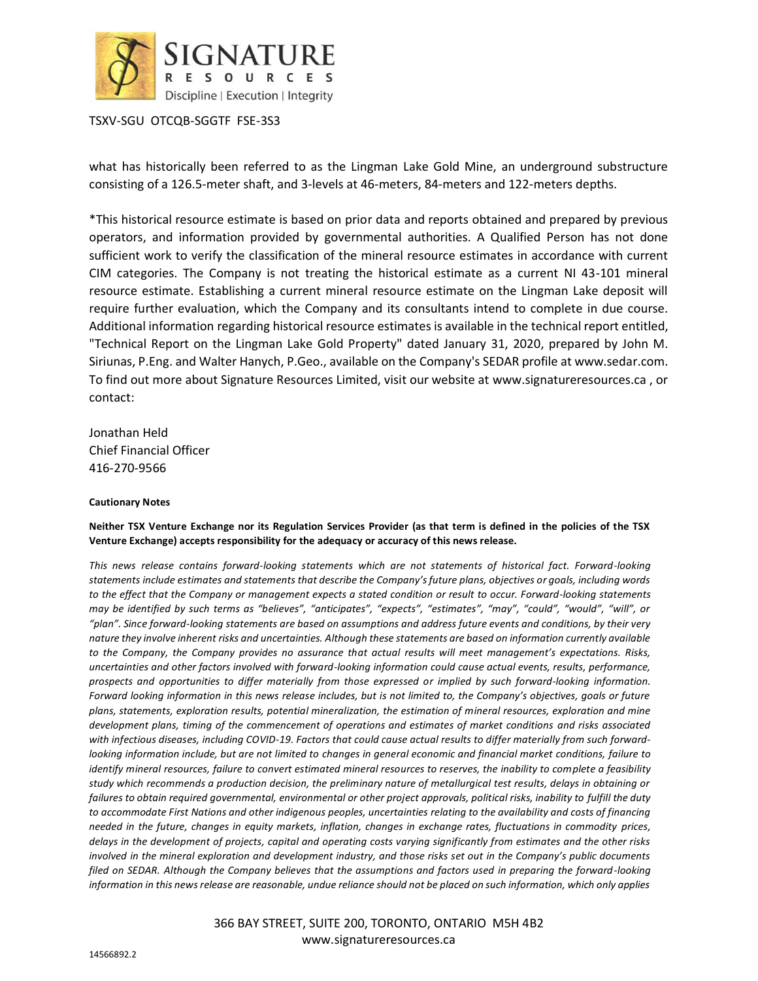

TSXV-SGU OTCQB-SGGTF FSE-3S3

what has historically been referred to as the Lingman Lake Gold Mine, an underground substructure consisting of a 126.5-meter shaft, and 3-levels at 46-meters, 84-meters and 122-meters depths.

\*This historical resource estimate is based on prior data and reports obtained and prepared by previous operators, and information provided by governmental authorities. A Qualified Person has not done sufficient work to verify the classification of the mineral resource estimates in accordance with current CIM categories. The Company is not treating the historical estimate as a current NI 43-101 mineral resource estimate. Establishing a current mineral resource estimate on the Lingman Lake deposit will require further evaluation, which the Company and its consultants intend to complete in due course. Additional information regarding historical resource estimates is available in the technical report entitled, "Technical Report on the Lingman Lake Gold Property" dated January 31, 2020, prepared by John M. Siriunas, P.Eng. and Walter Hanych, P.Geo., available on the Company's SEDAR profile at www.sedar.com. To find out more about Signature Resources Limited, visit our website at www.signatureresources.ca , or contact:

Jonathan Held Chief Financial Officer 416-270-9566

#### **Cautionary Notes**

#### **Neither TSX Venture Exchange nor its Regulation Services Provider (as that term is defined in the policies of the TSX Venture Exchange) accepts responsibility for the adequacy or accuracy of this news release.**

*This news release contains forward-looking statements which are not statements of historical fact. Forward-looking statements include estimates and statements that describe the Company's future plans, objectives or goals, including words to the effect that the Company or management expects a stated condition or result to occur. Forward-looking statements may be identified by such terms as "believes", "anticipates", "expects", "estimates", "may", "could", "would", "will", or "plan". Since forward-looking statements are based on assumptions and address future events and conditions, by their very nature they involve inherent risks and uncertainties. Although these statements are based on information currently available to the Company, the Company provides no assurance that actual results will meet management's expectations. Risks, uncertainties and other factors involved with forward-looking information could cause actual events, results, performance, prospects and opportunities to differ materially from those expressed or implied by such forward-looking information. Forward looking information in this news release includes, but is not limited to, the Company's objectives, goals or future plans, statements, exploration results, potential mineralization, the estimation of mineral resources, exploration and mine development plans, timing of the commencement of operations and estimates of market conditions and risks associated with infectious diseases, including COVID-19. Factors that could cause actual results to differ materially from such forwardlooking information include, but are not limited to changes in general economic and financial market conditions, failure to identify mineral resources, failure to convert estimated mineral resources to reserves, the inability to complete a feasibility study which recommends a production decision, the preliminary nature of metallurgical test results, delays in obtaining or failures to obtain required governmental, environmental or other project approvals, political risks, inability to fulfill the duty to accommodate First Nations and other indigenous peoples, uncertainties relating to the availability and costs of financing needed in the future, changes in equity markets, inflation, changes in exchange rates, fluctuations in commodity prices, delays in the development of projects, capital and operating costs varying significantly from estimates and the other risks involved in the mineral exploration and development industry, and those risks set out in the Company's public documents*  filed on SEDAR. Although the Company believes that the assumptions and factors used in preparing the forward-looking *information in this news release are reasonable, undue reliance should not be placed on such information, which only applies* 

> 366 BAY STREET, SUITE 200, TORONTO, ONTARIO M5H 4B2 www.signatureresources.ca